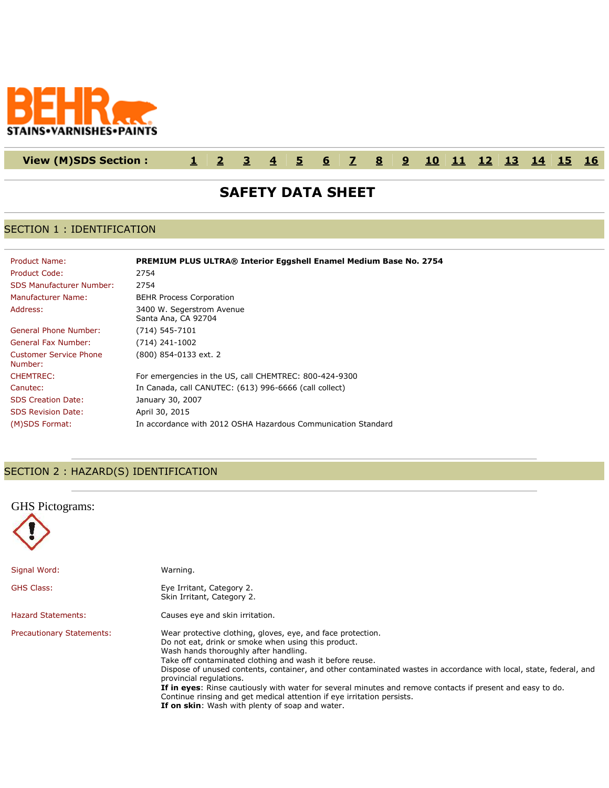

## **View (M)SDS Section : [1](http://www.actiocms.com/VIEW_MSDS/AuthorDisplay_V402/msdsdisplaycode_author_new_MASTER.cfm?edit_msds_id=10176&dbname=production&Hide_Section_Numbers=N&formatcode=7&language=1&noprint_label_fax_email=N#section1) [2](http://www.actiocms.com/VIEW_MSDS/AuthorDisplay_V402/msdsdisplaycode_author_new_MASTER.cfm?edit_msds_id=10176&dbname=production&Hide_Section_Numbers=N&formatcode=7&language=1&noprint_label_fax_email=N#section2) [3](http://www.actiocms.com/VIEW_MSDS/AuthorDisplay_V402/msdsdisplaycode_author_new_MASTER.cfm?edit_msds_id=10176&dbname=production&Hide_Section_Numbers=N&formatcode=7&language=1&noprint_label_fax_email=N#section3) [4](http://www.actiocms.com/VIEW_MSDS/AuthorDisplay_V402/msdsdisplaycode_author_new_MASTER.cfm?edit_msds_id=10176&dbname=production&Hide_Section_Numbers=N&formatcode=7&language=1&noprint_label_fax_email=N#section4) [5](http://www.actiocms.com/VIEW_MSDS/AuthorDisplay_V402/msdsdisplaycode_author_new_MASTER.cfm?edit_msds_id=10176&dbname=production&Hide_Section_Numbers=N&formatcode=7&language=1&noprint_label_fax_email=N#section5) [6](http://www.actiocms.com/VIEW_MSDS/AuthorDisplay_V402/msdsdisplaycode_author_new_MASTER.cfm?edit_msds_id=10176&dbname=production&Hide_Section_Numbers=N&formatcode=7&language=1&noprint_label_fax_email=N#section6) [7](http://www.actiocms.com/VIEW_MSDS/AuthorDisplay_V402/msdsdisplaycode_author_new_MASTER.cfm?edit_msds_id=10176&dbname=production&Hide_Section_Numbers=N&formatcode=7&language=1&noprint_label_fax_email=N#section7) [8](http://www.actiocms.com/VIEW_MSDS/AuthorDisplay_V402/msdsdisplaycode_author_new_MASTER.cfm?edit_msds_id=10176&dbname=production&Hide_Section_Numbers=N&formatcode=7&language=1&noprint_label_fax_email=N#section8) [9](http://www.actiocms.com/VIEW_MSDS/AuthorDisplay_V402/msdsdisplaycode_author_new_MASTER.cfm?edit_msds_id=10176&dbname=production&Hide_Section_Numbers=N&formatcode=7&language=1&noprint_label_fax_email=N#section9) [10](http://www.actiocms.com/VIEW_MSDS/AuthorDisplay_V402/msdsdisplaycode_author_new_MASTER.cfm?edit_msds_id=10176&dbname=production&Hide_Section_Numbers=N&formatcode=7&language=1&noprint_label_fax_email=N#section10) [11](http://www.actiocms.com/VIEW_MSDS/AuthorDisplay_V402/msdsdisplaycode_author_new_MASTER.cfm?edit_msds_id=10176&dbname=production&Hide_Section_Numbers=N&formatcode=7&language=1&noprint_label_fax_email=N#section11) [12](http://www.actiocms.com/VIEW_MSDS/AuthorDisplay_V402/msdsdisplaycode_author_new_MASTER.cfm?edit_msds_id=10176&dbname=production&Hide_Section_Numbers=N&formatcode=7&language=1&noprint_label_fax_email=N#section12) [13](http://www.actiocms.com/VIEW_MSDS/AuthorDisplay_V402/msdsdisplaycode_author_new_MASTER.cfm?edit_msds_id=10176&dbname=production&Hide_Section_Numbers=N&formatcode=7&language=1&noprint_label_fax_email=N#section13) [14](http://www.actiocms.com/VIEW_MSDS/AuthorDisplay_V402/msdsdisplaycode_author_new_MASTER.cfm?edit_msds_id=10176&dbname=production&Hide_Section_Numbers=N&formatcode=7&language=1&noprint_label_fax_email=N#section14) [15](http://www.actiocms.com/VIEW_MSDS/AuthorDisplay_V402/msdsdisplaycode_author_new_MASTER.cfm?edit_msds_id=10176&dbname=production&Hide_Section_Numbers=N&formatcode=7&language=1&noprint_label_fax_email=N#section15) [16](http://www.actiocms.com/VIEW_MSDS/AuthorDisplay_V402/msdsdisplaycode_author_new_MASTER.cfm?edit_msds_id=10176&dbname=production&Hide_Section_Numbers=N&formatcode=7&language=1&noprint_label_fax_email=N#section16)**

# **SAFETY DATA SHEET**

### SECTION 1 : IDENTIFICATION

| Product Name:                     | PREMIUM PLUS ULTRA® Interior Eggshell Enamel Medium Base No. 2754 |
|-----------------------------------|-------------------------------------------------------------------|
| Product Code:                     | 2754                                                              |
| <b>SDS Manufacturer Number:</b>   | 2754                                                              |
| <b>Manufacturer Name:</b>         | <b>BEHR Process Corporation</b>                                   |
| Address:                          | 3400 W. Segerstrom Avenue<br>Santa Ana, CA 92704                  |
| General Phone Number:             | $(714) 545 - 7101$                                                |
| General Fax Number:               | (714) 241-1002                                                    |
| Customer Service Phone<br>Number: | (800) 854-0133 ext. 2                                             |
| <b>CHEMTREC:</b>                  | For emergencies in the US, call CHEMTREC: 800-424-9300            |
| Canutec:                          | In Canada, call CANUTEC: (613) 996-6666 (call collect)            |
| <b>SDS Creation Date:</b>         | January 30, 2007                                                  |
| <b>SDS Revision Date:</b>         | April 30, 2015                                                    |
| (M)SDS Format:                    | In accordance with 2012 OSHA Hazardous Communication Standard     |

## SECTION 2 : HAZARD(S) IDENTIFICATION

| <b>GHS</b> Pictograms:           |                                                                                                                                                                                                                                                                                                                                                                                                                                                                                                                                                                                                                     |
|----------------------------------|---------------------------------------------------------------------------------------------------------------------------------------------------------------------------------------------------------------------------------------------------------------------------------------------------------------------------------------------------------------------------------------------------------------------------------------------------------------------------------------------------------------------------------------------------------------------------------------------------------------------|
| Signal Word:                     | Warning.                                                                                                                                                                                                                                                                                                                                                                                                                                                                                                                                                                                                            |
| <b>GHS Class:</b>                | Eye Irritant, Category 2.<br>Skin Irritant, Category 2.                                                                                                                                                                                                                                                                                                                                                                                                                                                                                                                                                             |
| <b>Hazard Statements:</b>        | Causes eye and skin irritation.                                                                                                                                                                                                                                                                                                                                                                                                                                                                                                                                                                                     |
| <b>Precautionary Statements:</b> | Wear protective clothing, gloves, eye, and face protection.<br>Do not eat, drink or smoke when using this product.<br>Wash hands thoroughly after handling.<br>Take off contaminated clothing and wash it before reuse.<br>Dispose of unused contents, container, and other contaminated wastes in accordance with local, state, federal, and<br>provincial regulations.<br>If in eyes: Rinse cautiously with water for several minutes and remove contacts if present and easy to do.<br>Continue rinsing and get medical attention if eye irritation persists.<br>If on skin: Wash with plenty of soap and water. |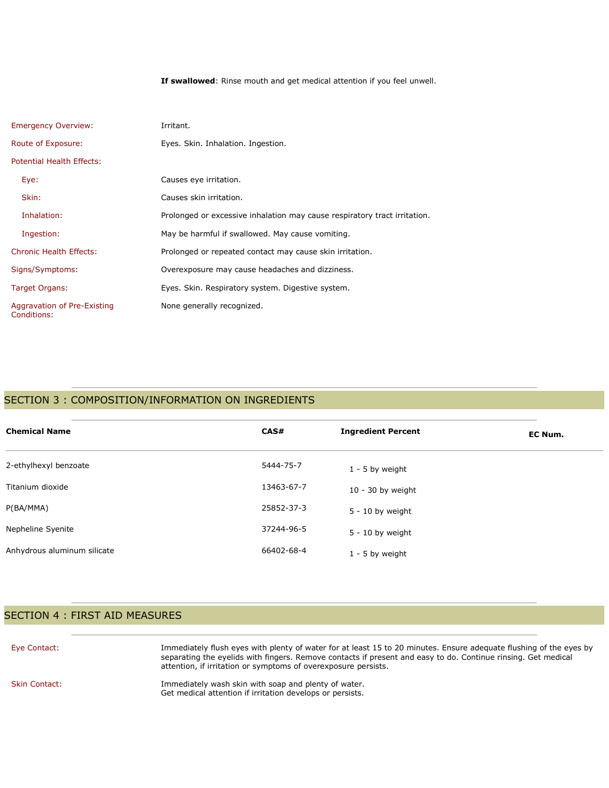**If swallowed**: Rinse mouth and get medical attention if you feel unwell.

| <b>Emergency Overview:</b>                 | Irritant.                                                                 |
|--------------------------------------------|---------------------------------------------------------------------------|
| Route of Exposure:                         | Eyes. Skin. Inhalation. Ingestion.                                        |
| Potential Health Effects:                  |                                                                           |
| Eye:                                       | Causes eye irritation.                                                    |
| Skin:                                      | Causes skin irritation.                                                   |
| Inhalation:                                | Prolonged or excessive inhalation may cause respiratory tract irritation. |
| Ingestion:                                 | May be harmful if swallowed. May cause vomiting.                          |
| <b>Chronic Health Effects:</b>             | Prolonged or repeated contact may cause skin irritation.                  |
| Signs/Symptoms:                            | Overexposure may cause headaches and dizziness.                           |
| Target Organs:                             | Eyes. Skin. Respiratory system. Digestive system.                         |
| Aggravation of Pre-Existing<br>Conditions: | None generally recognized.                                                |

## SECTION 3 : COMPOSITION/INFORMATION ON INGREDIENTS

| <b>Chemical Name</b>        | CAS#       | <b>Ingredient Percent</b> | EC Num. |
|-----------------------------|------------|---------------------------|---------|
| 2-ethylhexyl benzoate       | 5444-75-7  | $1 - 5$ by weight         |         |
| Titanium dioxide            | 13463-67-7 | $10 - 30$ by weight       |         |
| P(BA/MMA)                   | 25852-37-3 | $5 - 10$ by weight        |         |
| Nepheline Syenite           | 37244-96-5 | $5 - 10$ by weight        |         |
| Anhydrous aluminum silicate | 66402-68-4 | 1 - 5 by weight           |         |

## SECTION 4 : FIRST AID MEASURES

| Eye Contact:         | Immediately flush eyes with plenty of water for at least 15 to 20 minutes. Ensure adequate flushing of the eyes by<br>separating the eyelids with fingers. Remove contacts if present and easy to do. Continue rinsing. Get medical<br>attention, if irritation or symptoms of overexposure persists. |
|----------------------|-------------------------------------------------------------------------------------------------------------------------------------------------------------------------------------------------------------------------------------------------------------------------------------------------------|
| <b>Skin Contact:</b> | Immediately wash skin with soap and plenty of water.<br>Get medical attention if irritation develops or persists.                                                                                                                                                                                     |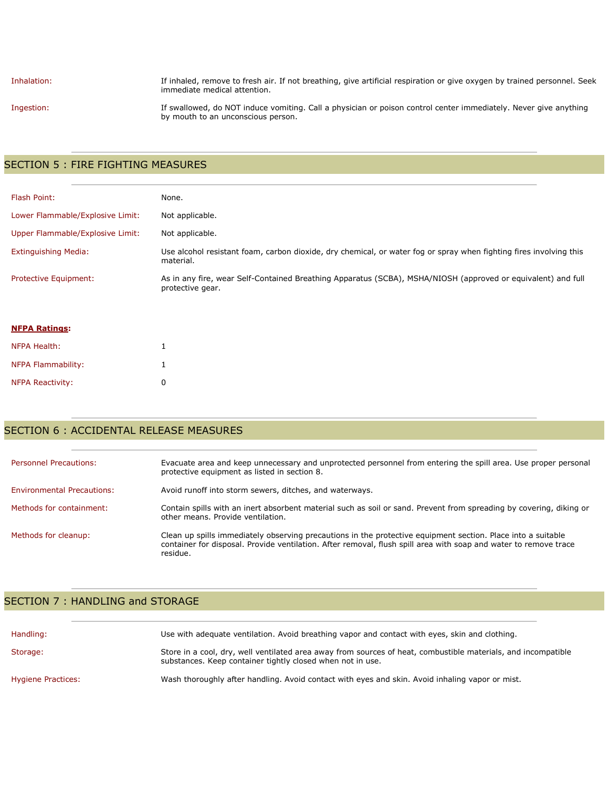Inhalation: If inhaled, remove to fresh air. If not breathing, give artificial respiration or give oxygen by trained personnel. Seek immediate medical attention.

Ingestion: If swallowed, do NOT induce vomiting. Call a physician or poison control center immediately. Never give anything by mouth to an unconscious person.

### SECTION 5 : FIRE FIGHTING MEASURES

| Flash Point:                     | None.                                                                                                                            |
|----------------------------------|----------------------------------------------------------------------------------------------------------------------------------|
| Lower Flammable/Explosive Limit: | Not applicable.                                                                                                                  |
| Upper Flammable/Explosive Limit: | Not applicable.                                                                                                                  |
| <b>Extinguishing Media:</b>      | Use alcohol resistant foam, carbon dioxide, dry chemical, or water fog or spray when fighting fires involving this<br>material.  |
| Protective Equipment:            | As in any fire, wear Self-Contained Breathing Apparatus (SCBA), MSHA/NIOSH (approved or equivalent) and full<br>protective gear. |

### SECTION 6 : ACCIDENTAL RELEASE MEASURES

| <b>Personnel Precautions:</b>     | Evacuate area and keep unnecessary and unprotected personnel from entering the spill area. Use proper personal<br>protective equipment as listed in section 8.                                                                               |
|-----------------------------------|----------------------------------------------------------------------------------------------------------------------------------------------------------------------------------------------------------------------------------------------|
| <b>Environmental Precautions:</b> | Avoid runoff into storm sewers, ditches, and waterways.                                                                                                                                                                                      |
| Methods for containment:          | Contain spills with an inert absorbent material such as soil or sand. Prevent from spreading by covering, diking or<br>other means. Provide ventilation.                                                                                     |
| Methods for cleanup:              | Clean up spills immediately observing precautions in the protective equipment section. Place into a suitable<br>container for disposal. Provide ventilation. After removal, flush spill area with soap and water to remove trace<br>residue. |

### SECTION 7 : HANDLING and STORAGE

| Handling:          | Use with adequate ventilation. Avoid breathing vapor and contact with eyes, skin and clothing.                                                                              |
|--------------------|-----------------------------------------------------------------------------------------------------------------------------------------------------------------------------|
| Storage:           | Store in a cool, dry, well ventilated area away from sources of heat, combustible materials, and incompatible<br>substances. Keep container tightly closed when not in use. |
| Hygiene Practices: | Wash thoroughly after handling. Avoid contact with eyes and skin. Avoid inhaling vapor or mist.                                                                             |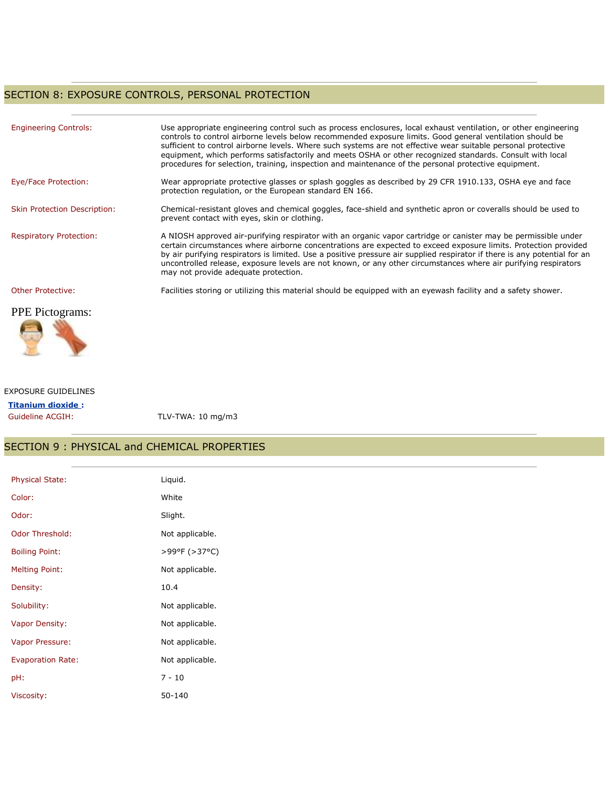## SECTION 8: EXPOSURE CONTROLS, PERSONAL PROTECTION

| <b>Engineering Controls:</b>        | Use appropriate engineering control such as process enclosures, local exhaust ventilation, or other engineering<br>controls to control airborne levels below recommended exposure limits. Good general ventilation should be<br>sufficient to control airborne levels. Where such systems are not effective wear suitable personal protective<br>equipment, which performs satisfactorily and meets OSHA or other recognized standards. Consult with local<br>procedures for selection, training, inspection and maintenance of the personal protective equipment. |
|-------------------------------------|--------------------------------------------------------------------------------------------------------------------------------------------------------------------------------------------------------------------------------------------------------------------------------------------------------------------------------------------------------------------------------------------------------------------------------------------------------------------------------------------------------------------------------------------------------------------|
| Eye/Face Protection:                | Wear appropriate protective glasses or splash goggles as described by 29 CFR 1910.133, OSHA eye and face<br>protection regulation, or the European standard EN 166.                                                                                                                                                                                                                                                                                                                                                                                                |
| <b>Skin Protection Description:</b> | Chemical-resistant gloves and chemical goggles, face-shield and synthetic apron or coveralls should be used to<br>prevent contact with eyes, skin or clothing.                                                                                                                                                                                                                                                                                                                                                                                                     |
| <b>Respiratory Protection:</b>      | A NIOSH approved air-purifying respirator with an organic vapor cartridge or canister may be permissible under<br>certain circumstances where airborne concentrations are expected to exceed exposure limits. Protection provided<br>by air purifying respirators is limited. Use a positive pressure air supplied respirator if there is any potential for an<br>uncontrolled release, exposure levels are not known, or any other circumstances where air purifying respirators<br>may not provide adequate protection.                                          |
| <b>Other Protective:</b>            | Facilities storing or utilizing this material should be equipped with an eyewash facility and a safety shower.                                                                                                                                                                                                                                                                                                                                                                                                                                                     |
| <b>PPE</b> Pictograms:              |                                                                                                                                                                                                                                                                                                                                                                                                                                                                                                                                                                    |



#### EXPOSURE GUIDELINES

| <b>Titanium dioxide:</b> |      |
|--------------------------|------|
| Guideline ACGIH:         | TI V |

 $V$ -TWA: 10 mg/m3

## SECTION 9 : PHYSICAL and CHEMICAL PROPERTIES

| Physical State:          | Liquid.         |
|--------------------------|-----------------|
| Color:                   | White           |
| Odor:                    | Slight.         |
| Odor Threshold:          | Not applicable. |
| <b>Boiling Point:</b>    | >99°F (>37°C)   |
| <b>Melting Point:</b>    | Not applicable. |
| Density:                 | 10.4            |
| Solubility:              | Not applicable. |
| Vapor Density:           | Not applicable. |
| Vapor Pressure:          | Not applicable. |
| <b>Evaporation Rate:</b> | Not applicable. |
| pH:                      | $7 - 10$        |
| Viscosity:               | $50 - 140$      |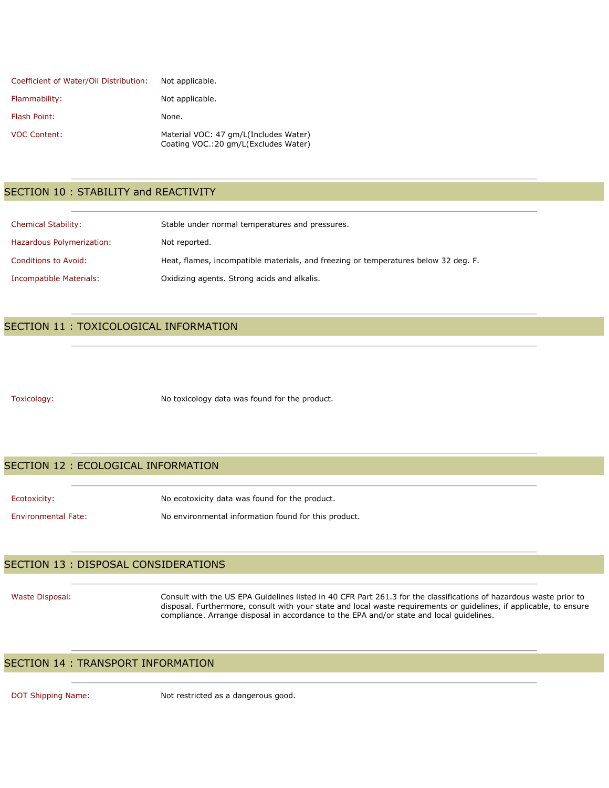| Coefficient of Water/Oil Distribution: | Not applicable.                                                               |
|----------------------------------------|-------------------------------------------------------------------------------|
| Flammability:                          | Not applicable.                                                               |
| Flash Point:                           | None.                                                                         |
| <b>VOC Content:</b>                    | Material VOC: 47 gm/L(Includes Water)<br>Coating VOC.:20 gm/L(Excludes Water) |

### SECTION 10 : STABILITY and REACTIVITY

| <b>Chemical Stability:</b> | Stable under normal temperatures and pressures.                                     |
|----------------------------|-------------------------------------------------------------------------------------|
| Hazardous Polymerization:  | Not reported.                                                                       |
| Conditions to Avoid:       | Heat, flames, incompatible materials, and freezing or temperatures below 32 deg. F. |
| Incompatible Materials:    | Oxidizing agents. Strong acids and alkalis.                                         |

### SECTION 11 : TOXICOLOGICAL INFORMATION

Toxicology: No toxicology data was found for the product.

### SECTION 12 : ECOLOGICAL INFORMATION

Ecotoxicity: No ecotoxicity data was found for the product. Environmental Fate: No environmental information found for this product.

### SECTION 13 : DISPOSAL CONSIDERATIONS

Waste Disposal: Consult with the US EPA Guidelines listed in 40 CFR Part 261.3 for the classifications of hazardous waste prior to disposal. Furthermore, consult with your state and local waste requirements or guidelines, if applicable, to ensure compliance. Arrange disposal in accordance to the EPA and/or state and local guidelines.

### SECTION 14 : TRANSPORT INFORMATION

DOT Shipping Name: Not restricted as a dangerous good.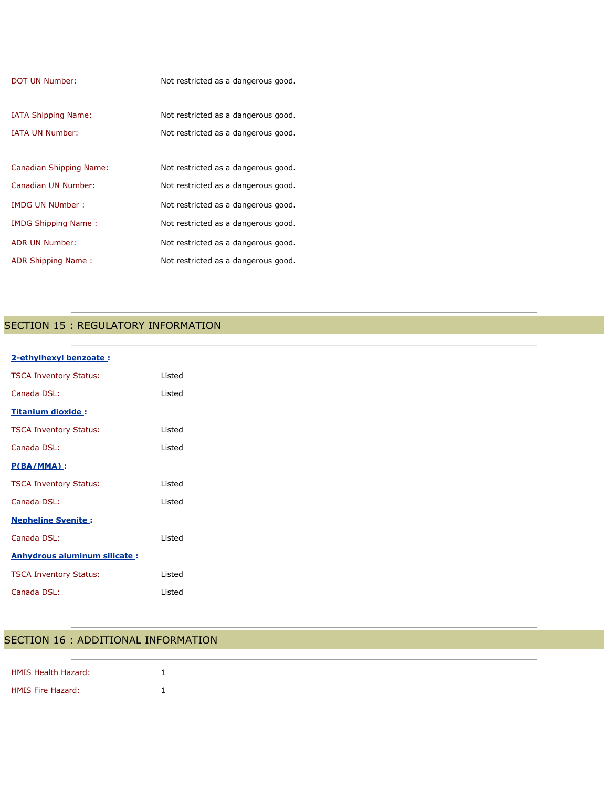| DOT UN Number:                 | Not restricted as a dangerous good. |
|--------------------------------|-------------------------------------|
| <b>IATA Shipping Name:</b>     | Not restricted as a dangerous good. |
| <b>IATA UN Number:</b>         | Not restricted as a dangerous good. |
| <b>Canadian Shipping Name:</b> | Not restricted as a dangerous good. |
| Canadian UN Number:            | Not restricted as a dangerous good. |
| <b>IMDG UN NUmber:</b>         | Not restricted as a dangerous good. |
| IMDG Shipping Name:            | Not restricted as a dangerous good. |
| ADR UN Number:                 | Not restricted as a dangerous good. |
| ADR Shipping Name:             | Not restricted as a dangerous good. |

# SECTION 15 : REGULATORY INFORMATION

| 2-ethylhexyl benzoate:              |        |
|-------------------------------------|--------|
| <b>TSCA Inventory Status:</b>       | Listed |
| Canada DSL:                         | Listed |
| <b>Titanium dioxide:</b>            |        |
| <b>TSCA Inventory Status:</b>       | Listed |
| Canada DSL:                         | Listed |
| $P(BA/MMA)$ :                       |        |
| <b>TSCA Inventory Status:</b>       | Listed |
| Canada DSL:                         | Listed |
| <b>Nepheline Syenite:</b>           |        |
| Canada DSL:                         | Listed |
| <b>Anhydrous aluminum silicate:</b> |        |
| <b>TSCA Inventory Status:</b>       | Listed |
| Canada DSL:                         | Listed |
|                                     |        |

## SECTION 16 : ADDITIONAL INFORMATION